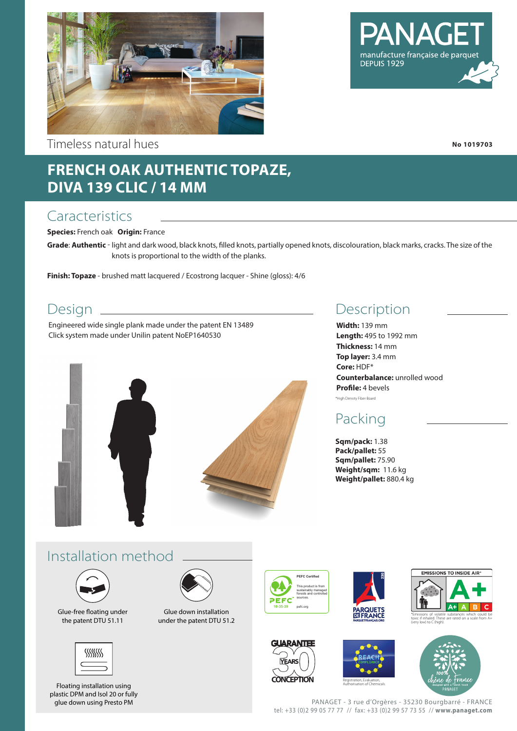

Timeless natural hues

### **FRENCH OAK AUTHENTIC TOPAZE, DIVA 139 CLIC / 14 MM**

#### **Caracteristics**

**Species:** French oak **Origin:** France

**Grade**: **Authentic** - light and dark wood, black knots, filled knots, partially opened knots, discolouration, black marks, cracks. The size of the knots is proportional to the width of the planks.

**Finish: Topaze** - brushed matt lacquered / Ecostrong lacquer - Shine (gloss): 4/6

#### Design <sub>-</sub>

Engineered wide single plank made under the patent EN 13489 Click system made under Unilin patent NoEP1640530



#### Description

**Width:** 139 mm **Length:** 495 to 1992 mm **Thickness:** 14 mm **Top layer:** 3.4 mm **Core:** HDF\* **Counterbalance:** unrolled wood **Profile:** 4 bevels \*High Density Fiber Board

#### Packing

**Sqm/pack:** 1.38 **Pack/pallet:** 55 **Sqm/pallet:** 75.90 **Weight/sqm:** 11.6 kg **Weight/pallet:** 880.4 kg

#### Installation method



Glue-free floating under the patent DTU 51.11



Floating installation using plastic DPM and Isol 20 or fully glue down using Presto PM



Glue down installation under the patent DTU 51.2



**VEAR** 













PANAGET - 3 rue d'Orgères - 35230 Bourgbarré - FRANCE tel: +33 (0)2 99 05 77 77 // fax: +33 (0)2 99 57 73 55 // **www.panaget.com**



manufacture française de parque

DEPUIS 1929